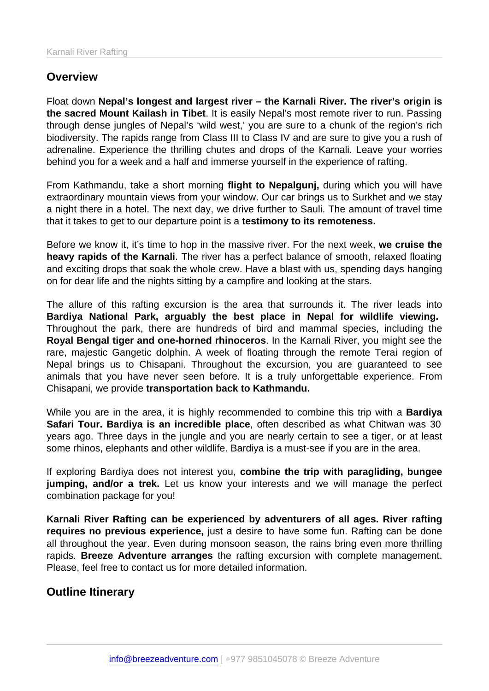## **Overview**

Float down Nepal's longest and largest river – the Karnali River. The river's origin is the sacred Mount Kailash in Tibet . It is easily Nepal's most remote river to run. Passing through dense jungles of Nepal's 'wild west,' you are sure to a chunk of the region's rich biodiversity. The rapids range from Class III to Class IV and are sure to give you a rush of adrenaline. Experience the thrilling chutes and drops of the Karnali. Leave your worries behind you for a week and a half and immerse yourself in the experience of rafting.

From Kathmandu, take a short morning flight to Nepalgunj, during which you will have extraordinary mountain views from your window. Our car brings us to Surkhet and we stay a night there in a hotel. The next day, we drive further to Sauli. The amount of travel time that it takes to get to our departure point is a testimony to its remoteness.

Before we know it, it's time to hop in the massive river. For the next week, we cruise the heavy rapids of the Karnali . The river has a perfect balance of smooth, relaxed floating and exciting drops that soak the whole crew. Have a blast with us, spending days hanging on for dear life and the nights sitting by a campfire and looking at the stars.

The allure of this rafting excursion is the area that surrounds it. The river leads into Bardiya National Park, arguably the best place in Nepal for wildlife viewing. Throughout the park, there are hundreds of bird and mammal species, including the Royal Bengal tiger and one-horned rhinoceros . In the Karnali River, you might see the rare, majestic Gangetic dolphin. A week of floating through the remote Terai region of Nepal brings us to Chisapani. Throughout the excursion, you are guaranteed to see animals that you have never seen before. It is a truly unforgettable experience. From Chisapani, we provide transportation back to Kathmandu.

While you are in the area, it is highly recommended to combine this trip with a Bardiya Safari Tour. Bardiya is an incredible place , often described as what Chitwan was 30 years ago. Three days in the jungle and you are nearly certain to see a tiger, or at least some rhinos, elephants and other wildlife. Bardiya is a must-see if you are in the area.

If exploring Bardiya does not interest you, combine the trip with paragliding, bungee jumping, and/or a trek. Let us know your interests and we will manage the perfect combination package for you!

Karnali River Rafting can be experienced by adventurers of all ages. River rafting requires no previous experience, just a desire to have some fun. Rafting can be done all throughout the year. Even during monsoon season, the rains bring even more thrilling rapids. Breeze Adventure arranges the rafting excursion with complete management. Please, feel free to contact us for more detailed information.

Outline Itinerary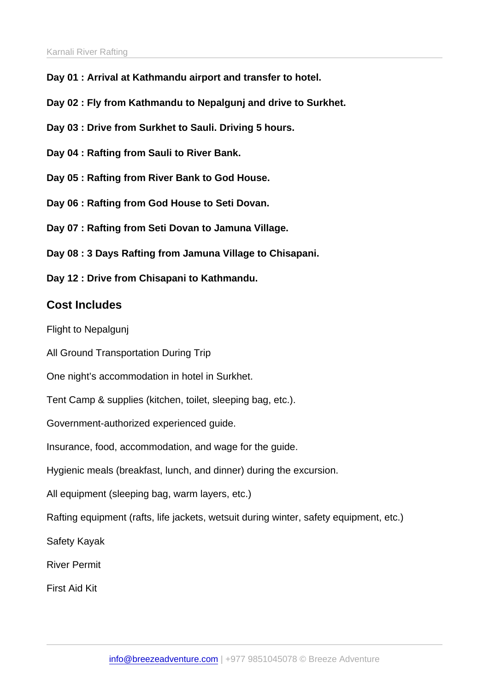- Day 01 : Arrival at Kathmandu airport and transfer to hotel.
- Day 02 : Fly from Kathmandu to Nepalgunj and drive to Surkhet.
- Day 03 : Drive from Surkhet to Sauli. Driving 5 hours.
- Day 04 : Rafting from Sauli to River Bank.
- Day 05 : Rafting from River Bank to God House.
- Day 06 : Rafting from God House to Seti Dovan.
- Day 07 : Rafting from Seti Dovan to Jamuna Village.
- Day 08 : 3 Days Rafting from Jamuna Village to Chisapani.
- Day 12 : Drive from Chisapani to Kathmandu.

## Cost Includes

Flight to Nepalgunj

All Ground Transportation During Trip

One night's accommodation in hotel in Surkhet.

Tent Camp & supplies (kitchen, toilet, sleeping bag, etc.).

Government-authorized experienced guide.

Insurance, food, accommodation, and wage for the guide.

Hygienic meals (breakfast, lunch, and dinner) during the excursion.

All equipment (sleeping bag, warm layers, etc.)

Rafting equipment (rafts, life jackets, wetsuit during winter, safety equipment, etc.)

Safety Kayak

River Permit

First Aid Kit